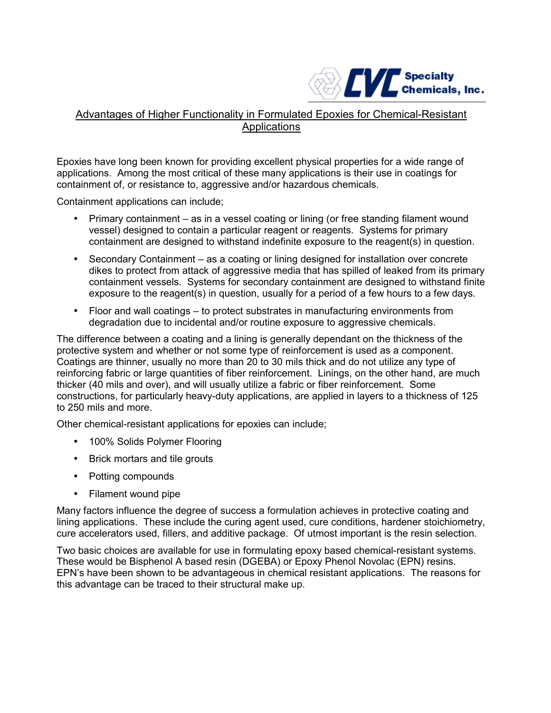

### Advantages of Higher Functionality in Formulated Epoxies for Chemical-Resistant **Applications**

Epoxies have long been known for providing excellent physical properties for a wide range of applications. Among the most critical of these many applications is their use in coatings for containment of, or resistance to, aggressive and/or hazardous chemicals.

Containment applications can include;

- Primary containment as in a vessel coating or lining (or free standing filament wound vessel) designed to contain a particular reagent or reagents. Systems for primary containment are designed to withstand indefinite exposure to the reagent(s) in question.
- Secondary Containment as a coating or lining designed for installation over concrete dikes to protect from attack of aggressive media that has spilled of leaked from its primary containment vessels. Systems for secondary containment are designed to withstand finite exposure to the reagent(s) in question, usually for a period of a few hours to a few days.
- Floor and wall coatings to protect substrates in manufacturing environments from degradation due to incidental and/or routine exposure to aggressive chemicals.

The difference between a coating and a lining is generally dependant on the thickness of the protective system and whether or not some type of reinforcement is used as a component. Coatings are thinner, usually no more than 20 to 30 mils thick and do not utilize any type of reinforcing fabric or large quantities of fiber reinforcement. Linings, on the other hand, are much thicker (40 mils and over), and will usually utilize a fabric or fiber reinforcement. Some constructions, for particularly heavy-duty applications, are applied in layers to a thickness of 125 to 250 mils and more.

Other chemical-resistant applications for epoxies can include;

- 100% Solids Polymer Flooring
- Brick mortars and tile grouts
- Potting compounds
- Filament wound pipe

Many factors influence the degree of success a formulation achieves in protective coating and lining applications. These include the curing agent used, cure conditions, hardener stoichiometry, cure accelerators used, fillers, and additive package. Of utmost important is the resin selection.

Two basic choices are available for use in formulating epoxy based chemical-resistant systems. These would be Bisphenol A based resin (DGEBA) or Epoxy Phenol Novolac (EPN) resins. EPN's have been shown to be advantageous in chemical resistant applications. The reasons for this advantage can be traced to their structural make up.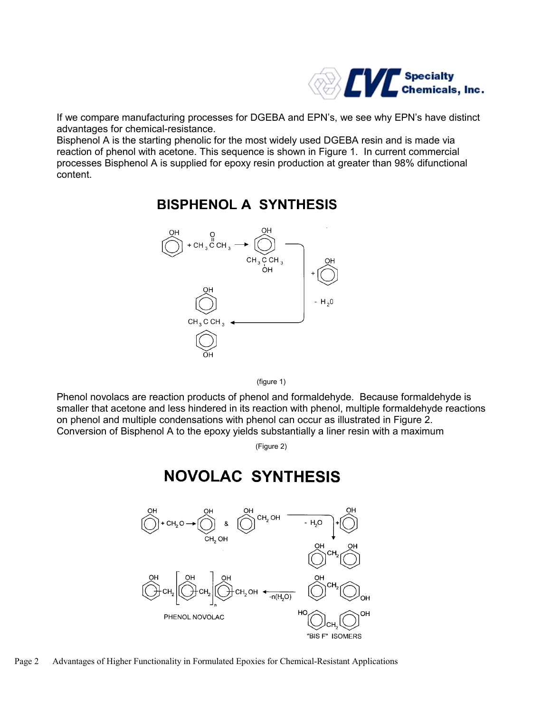

If we compare manufacturing processes for DGEBA and EPN's, we see why EPN's have distinct advantages for chemical-resistance.

Bisphenol A is the starting phenolic for the most widely used DGEBA resin and is made via reaction of phenol with acetone. This sequence is shown in Figure 1. In current commercial processes Bisphenol A is supplied for epoxy resin production at greater than 98% difunctional content.



## **BISPHENOL A SYNTHESIS**

(figure 1)

Phenol novolacs are reaction products of phenol and formaldehyde. Because formaldehyde is smaller that acetone and less hindered in its reaction with phenol, multiple formaldehyde reactions on phenol and multiple condensations with phenol can occur as illustrated in Figure 2. Conversion of Bisphenol A to the epoxy yields substantially a liner resin with a maximum

(Figure 2)

# **NOVOLAC SYNTHESIS**



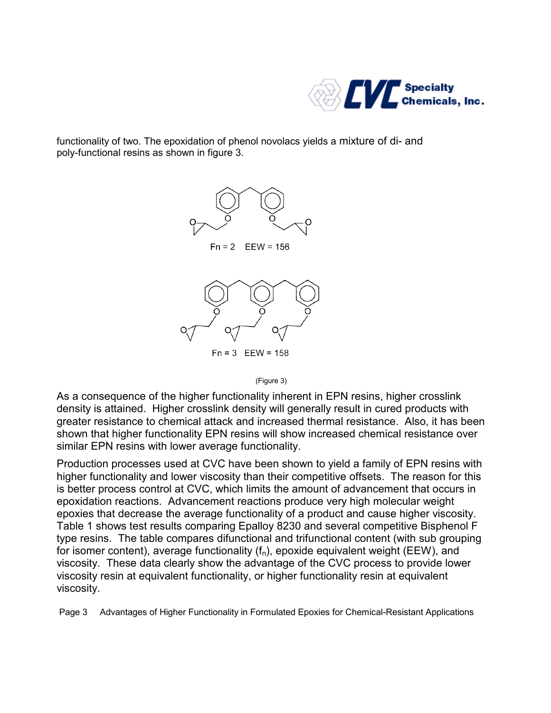

functionality of two. The epoxidation of phenol novolacs yields a mixture of di- and poly-functional resins as shown in figure 3.



(Figure 3)

As a consequence of the higher functionality inherent in EPN resins, higher crosslink density is attained. Higher crosslink density will generally result in cured products with greater resistance to chemical attack and increased thermal resistance. Also, it has been shown that higher functionality EPN resins will show increased chemical resistance over similar EPN resins with lower average functionality.

Production processes used at CVC have been shown to yield a family of EPN resins with higher functionality and lower viscosity than their competitive offsets. The reason for this is better process control at CVC, which limits the amount of advancement that occurs in epoxidation reactions. Advancement reactions produce very high molecular weight epoxies that decrease the average functionality of a product and cause higher viscosity. Table 1 shows test results comparing Epalloy 8230 and several competitive Bisphenol F type resins. The table compares difunctional and trifunctional content (with sub grouping for isomer content), average functionality  $(f_n)$ , epoxide equivalent weight (EEW), and viscosity. These data clearly show the advantage of the CVC process to provide lower viscosity resin at equivalent functionality, or higher functionality resin at equivalent viscosity.

Page 3 Advantages of Higher Functionality in Formulated Epoxies for Chemical-Resistant Applications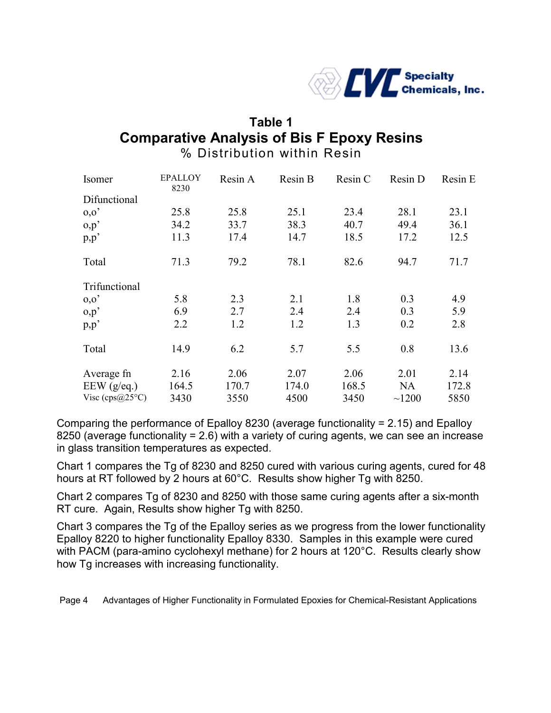

### **Table 1 Comparative Analysis of Bis F Epoxy Resins**  % Distribution within Resin

| Isomer                          | <b>EPALLOY</b><br>8230 | Resin A | Resin B | Resin C | Resin D   | Resin E |
|---------------------------------|------------------------|---------|---------|---------|-----------|---------|
| Difunctional                    |                        |         |         |         |           |         |
| 0,0'                            | 25.8                   | 25.8    | 25.1    | 23.4    | 28.1      | 23.1    |
| o, p'                           | 34.2                   | 33.7    | 38.3    | 40.7    | 49.4      | 36.1    |
| p, p'                           | 11.3                   | 17.4    | 14.7    | 18.5    | 17.2      | 12.5    |
| Total                           | 71.3                   | 79.2    | 78.1    | 82.6    | 94.7      | 71.7    |
| Trifunctional                   |                        |         |         |         |           |         |
| 0,0'                            | 5.8                    | 2.3     | 2.1     | 1.8     | 0.3       | 4.9     |
| o, p'                           | 6.9                    | 2.7     | 2.4     | 2.4     | 0.3       | 5.9     |
| p, p'                           | 2.2                    | 1.2     | 1.2     | 1.3     | 0.2       | 2.8     |
| Total                           | 14.9                   | 6.2     | 5.7     | 5.5     | 0.8       | 13.6    |
| Average fn                      | 2.16                   | 2.06    | 2.07    | 2.06    | 2.01      | 2.14    |
| $EEW$ (g/eq.)                   | 164.5                  | 170.7   | 174.0   | 168.5   | <b>NA</b> | 172.8   |
| Visc (cps@25 $\rm ^{\circ}C)$ ) | 3430                   | 3550    | 4500    | 3450    | ~1200     | 5850    |

Comparing the performance of Epalloy 8230 (average functionality = 2.15) and Epalloy 8250 (average functionality = 2.6) with a variety of curing agents, we can see an increase in glass transition temperatures as expected.

Chart 1 compares the Tg of 8230 and 8250 cured with various curing agents, cured for 48 hours at RT followed by 2 hours at 60°C. Results show higher Tg with 8250.

Chart 2 compares Tg of 8230 and 8250 with those same curing agents after a six-month RT cure. Again, Results show higher Tg with 8250.

Chart 3 compares the Tg of the Epalloy series as we progress from the lower functionality Epalloy 8220 to higher functionality Epalloy 8330. Samples in this example were cured with PACM (para-amino cyclohexyl methane) for 2 hours at 120°C. Results clearly show how Tg increases with increasing functionality.

Page 4 Advantages of Higher Functionality in Formulated Epoxies for Chemical-Resistant Applications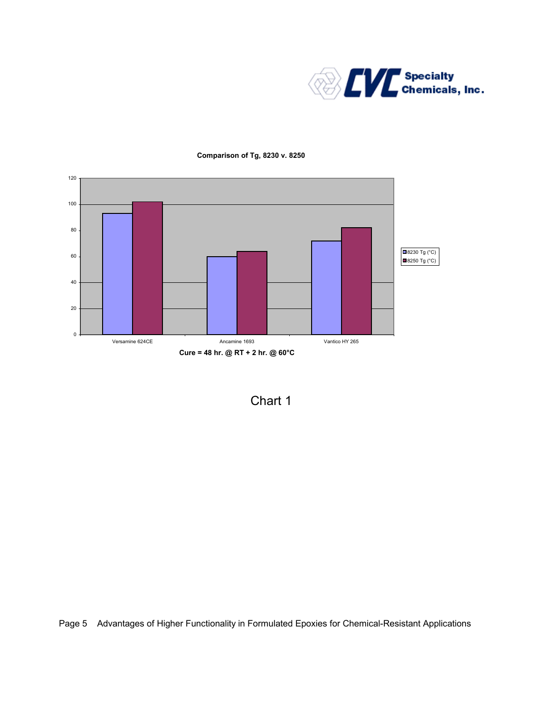



**Comparison of Tg, 8230 v. 8250**

Chart 1

Page 5 Advantages of Higher Functionality in Formulated Epoxies for Chemical-Resistant Applications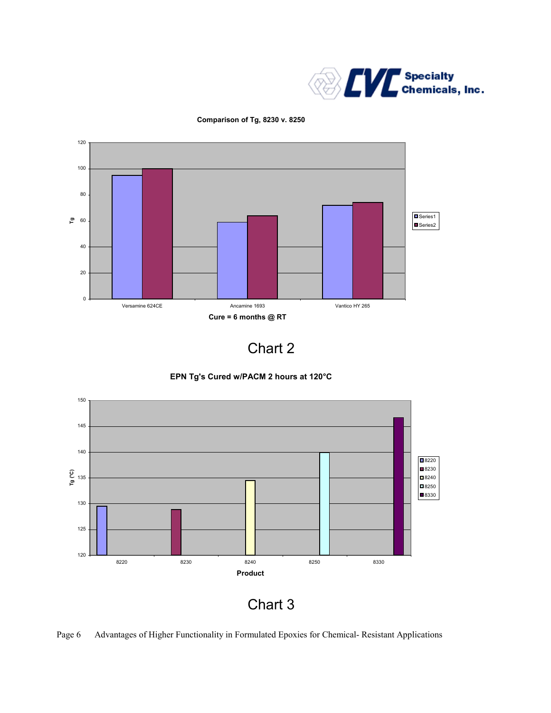

```
Comparison of Tg, 8230 v. 8250
```


Chart 2

**EPN Tg's Cured w/PACM 2 hours at 120°C**



Chart 3

Page 6 Advantages of Higher Functionality in Formulated Epoxies for Chemical- Resistant Applications